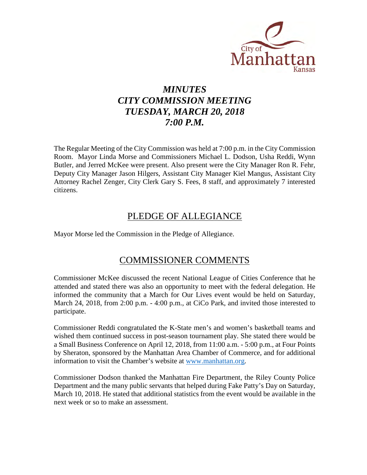

# *MINUTES CITY COMMISSION MEETING TUESDAY, MARCH 20, 2018 7:00 P.M.*

The Regular Meeting of the City Commission was held at 7:00 p.m. in the City Commission Room. Mayor Linda Morse and Commissioners Michael L. Dodson, Usha Reddi, Wynn Butler, and Jerred McKee were present. Also present were the City Manager Ron R. Fehr, Deputy City Manager Jason Hilgers, Assistant City Manager Kiel Mangus, Assistant City Attorney Rachel Zenger, City Clerk Gary S. Fees, 8 staff, and approximately 7 interested citizens.

# PLEDGE OF ALLEGIANCE

Mayor Morse led the Commission in the Pledge of Allegiance.

# COMMISSIONER COMMENTS

Commissioner McKee discussed the recent National League of Cities Conference that he attended and stated there was also an opportunity to meet with the federal delegation. He informed the community that a March for Our Lives event would be held on Saturday, March 24, 2018, from 2:00 p.m. - 4:00 p.m., at CiCo Park, and invited those interested to participate.

Commissioner Reddi congratulated the K-State men's and women's basketball teams and wished them continued success in post-season tournament play. She stated there would be a Small Business Conference on April 12, 2018, from 11:00 a.m. - 5:00 p.m., at Four Points by Sheraton, sponsored by the Manhattan Area Chamber of Commerce, and for additional information to visit the Chamber's website at [www.manhattan.org.](http://www.manhattan.org/)

Commissioner Dodson thanked the Manhattan Fire Department, the Riley County Police Department and the many public servants that helped during Fake Patty's Day on Saturday, March 10, 2018. He stated that additional statistics from the event would be available in the next week or so to make an assessment.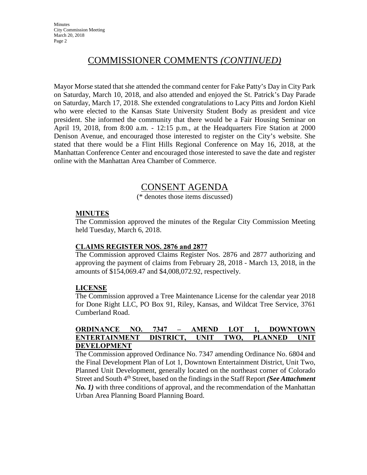# COMMISSIONER COMMENTS *(CONTINUED)*

Mayor Morse stated that she attended the command center for Fake Patty's Day in City Park on Saturday, March 10, 2018, and also attended and enjoyed the St. Patrick's Day Parade on Saturday, March 17, 2018. She extended congratulations to Lacy Pitts and Jordon Kiehl who were elected to the Kansas State University Student Body as president and vice president. She informed the community that there would be a Fair Housing Seminar on April 19, 2018, from 8:00 a.m. - 12:15 p.m., at the Headquarters Fire Station at 2000 Denison Avenue, and encouraged those interested to register on the City's website. She stated that there would be a Flint Hills Regional Conference on May 16, 2018, at the Manhattan Conference Center and encouraged those interested to save the date and register online with the Manhattan Area Chamber of Commerce.

# CONSENT AGENDA

(\* denotes those items discussed)

#### **MINUTES**

The Commission approved the minutes of the Regular City Commission Meeting held Tuesday, March 6, 2018.

#### **CLAIMS REGISTER NOS. 2876 and 2877**

The Commission approved Claims Register Nos. 2876 and 2877 authorizing and approving the payment of claims from February 28, 2018 - March 13, 2018, in the amounts of \$154,069.47 and \$4,008,072.92, respectively.

#### **LICENSE**

The Commission approved a Tree Maintenance License for the calendar year 2018 for Done Right LLC, PO Box 91, Riley, Kansas, and Wildcat Tree Service, 3761 Cumberland Road.

### **ORDINANCE NO. 7347 – AMEND LOT 1, DOWNTOWN ENTERTAINMENT DISTRICT, UNIT TWO, PLANNED UNIT DEVELOPMENT**

The Commission approved Ordinance No. 7347 amending Ordinance No. 6804 and the Final Development Plan of Lot 1, Downtown Entertainment District, Unit Two, Planned Unit Development, generally located on the northeast corner of Colorado Street and South 4<sup>th</sup> Street, based on the findings in the Staff Report *(See Attachment*) *No. 1)* with three conditions of approval, and the recommendation of the Manhattan Urban Area Planning Board Planning Board.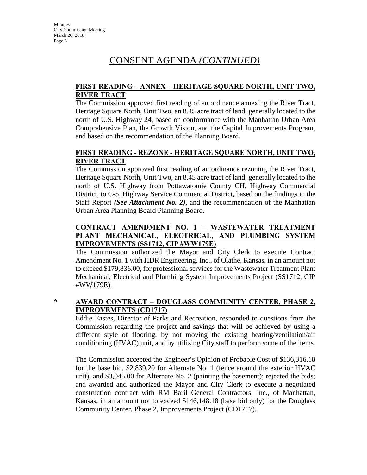# CONSENT AGENDA *(CONTINUED)*

## **FIRST READING – ANNEX – HERITAGE SQUARE NORTH, UNIT TWO, RIVER TRACT**

The Commission approved first reading of an ordinance annexing the River Tract, Heritage Square North, Unit Two, an 8.45 acre tract of land, generally located to the north of U.S. Highway 24, based on conformance with the Manhattan Urban Area Comprehensive Plan, the Growth Vision, and the Capital Improvements Program, and based on the recommendation of the Planning Board.

# **FIRST READING - REZONE - HERITAGE SQUARE NORTH, UNIT TWO, RIVER TRACT**

The Commission approved first reading of an ordinance rezoning the River Tract, Heritage Square North, Unit Two, an 8.45 acre tract of land, generally located to the north of U.S. Highway from Pottawatomie County CH, Highway Commercial District, to C-5, Highway Service Commercial District, based on the findings in the Staff Report *(See Attachment No. 2)*, and the recommendation of the Manhattan Urban Area Planning Board Planning Board.

# **CONTRACT AMENDMENT NO. 1 – WASTEWATER TREATMENT PLANT MECHANICAL, ELECTRICAL, AND PLUMBING SYSTEM IMPROVEMENTS (SS1712, CIP #WW179E)**

The Commission authorized the Mayor and City Clerk to execute Contract Amendment No. 1 with HDR Engineering, Inc., of Olathe, Kansas, in an amount not to exceed \$179,836.00, for professional services for the Wastewater Treatment Plant Mechanical, Electrical and Plumbing System Improvements Project (SS1712, CIP #WW179E).

# **\* AWARD CONTRACT – DOUGLASS COMMUNITY CENTER, PHASE 2, IMPROVEMENTS (CD1717)**

Eddie Eastes, Director of Parks and Recreation, responded to questions from the Commission regarding the project and savings that will be achieved by using a different style of flooring, by not moving the existing hearing/ventilation/air conditioning (HVAC) unit, and by utilizing City staff to perform some of the items.

The Commission accepted the Engineer's Opinion of Probable Cost of \$136,316.18 for the base bid, \$2,839.20 for Alternate No. 1 (fence around the exterior HVAC unit), and \$3,045.00 for Alternate No. 2 (painting the basement); rejected the bids; and awarded and authorized the Mayor and City Clerk to execute a negotiated construction contract with RM Baril General Contractors, Inc., of Manhattan, Kansas, in an amount not to exceed \$146,148.18 (base bid only) for the Douglass Community Center, Phase 2, Improvements Project (CD1717).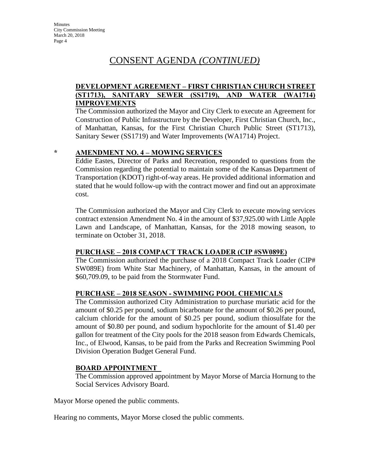# CONSENT AGENDA *(CONTINUED)*

# **DEVELOPMENT AGREEMENT – FIRST CHRISTIAN CHURCH STREET (ST1713), SANITARY SEWER (SS1719), AND WATER (WA1714) IMPROVEMENTS**

The Commission authorized the Mayor and City Clerk to execute an Agreement for Construction of Public Infrastructure by the Developer, First Christian Church, Inc., of Manhattan, Kansas, for the First Christian Church Public Street (ST1713), Sanitary Sewer (SS1719) and Water Improvements (WA1714) Project.

#### **\* AMENDMENT NO. 4 – MOWING SERVICES**

Eddie Eastes, Director of Parks and Recreation, responded to questions from the Commission regarding the potential to maintain some of the Kansas Department of Transportation (KDOT) right-of-way areas. He provided additional information and stated that he would follow-up with the contract mower and find out an approximate cost.

The Commission authorized the Mayor and City Clerk to execute mowing services contract extension Amendment No. 4 in the amount of \$37,925.00 with Little Apple Lawn and Landscape, of Manhattan, Kansas, for the 2018 mowing season, to terminate on October 31, 2018.

#### **PURCHASE – 2018 COMPACT TRACK LOADER (CIP #SW089E)**

The Commission authorized the purchase of a 2018 Compact Track Loader (CIP# SW089E) from White Star Machinery, of Manhattan, Kansas, in the amount of \$60,709.09, to be paid from the Stormwater Fund.

# **PURCHASE – 2018 SEASON - SWIMMING POOL CHEMICALS**

The Commission authorized City Administration to purchase muriatic acid for the amount of \$0.25 per pound, sodium bicarbonate for the amount of \$0.26 per pound, calcium chloride for the amount of \$0.25 per pound, sodium thiosulfate for the amount of \$0.80 per pound, and sodium hypochlorite for the amount of \$1.40 per gallon for treatment of the City pools for the 2018 season from Edwards Chemicals, Inc., of Elwood, Kansas, to be paid from the Parks and Recreation Swimming Pool Division Operation Budget General Fund.

# **BOARD APPOINTMENT**

The Commission approved appointment by Mayor Morse of Marcia Hornung to the Social Services Advisory Board.

Mayor Morse opened the public comments.

Hearing no comments, Mayor Morse closed the public comments.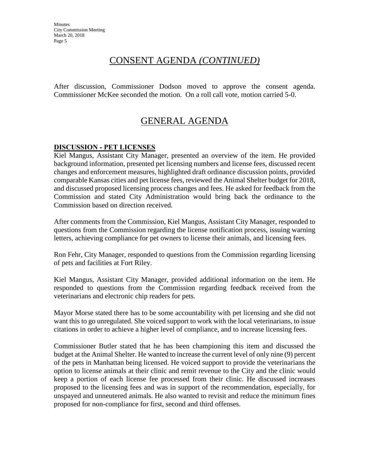# CONSENT AGENDA *(CONTINUED)*

After discussion, Commissioner Dodson moved to approve the consent agenda. Commissioner McKee seconded the motion. On a roll call vote, motion carried 5-0.

# GENERAL AGENDA

# **DISCUSSION - PET LICENSES**

Kiel Mangus, Assistant City Manager, presented an overview of the item. He provided background information, presented pet licensing numbers and license fees, discussed recent changes and enforcement measures, highlighted draft ordinance discussion points, provided comparable Kansas cities and pet license fees, reviewed the Animal Shelter budget for 2018, and discussed proposed licensing process changes and fees. He asked for feedback from the Commission and stated City Administration would bring back the ordinance to the Commission based on direction received.

After comments from the Commission, Kiel Mangus, Assistant City Manager, responded to questions from the Commission regarding the license notification process, issuing warning letters, achieving compliance for pet owners to license their animals, and licensing fees.

Ron Fehr, City Manager, responded to questions from the Commission regarding licensing of pets and facilities at Fort Riley.

Kiel Mangus, Assistant City Manager, provided additional information on the item. He responded to questions from the Commission regarding feedback received from the veterinarians and electronic chip readers for pets.

Mayor Morse stated there has to be some accountability with pet licensing and she did not want this to go unregulated. She voiced support to work with the local veterinarians, to issue citations in order to achieve a higher level of compliance, and to increase licensing fees.

Commissioner Butler stated that he has been championing this item and discussed the budget at the Animal Shelter. He wanted to increase the current level of only nine (9) percent of the pets in Manhattan being licensed. He voiced support to provide the veterinarians the option to license animals at their clinic and remit revenue to the City and the clinic would keep a portion of each license fee processed from their clinic. He discussed increases proposed to the licensing fees and was in support of the recommendation, especially, for unspayed and unneutered animals. He also wanted to revisit and reduce the minimum fines proposed for non-compliance for first, second and third offenses.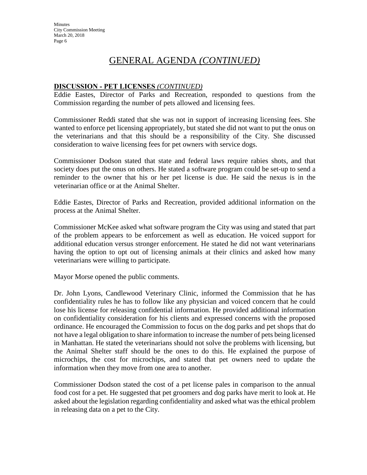# GENERAL AGENDA *(CONTINUED)*

# **DISCUSSION - PET LICENSES** *(CONTINUED)*

Eddie Eastes, Director of Parks and Recreation, responded to questions from the Commission regarding the number of pets allowed and licensing fees.

Commissioner Reddi stated that she was not in support of increasing licensing fees. She wanted to enforce pet licensing appropriately, but stated she did not want to put the onus on the veterinarians and that this should be a responsibility of the City. She discussed consideration to waive licensing fees for pet owners with service dogs.

Commissioner Dodson stated that state and federal laws require rabies shots, and that society does put the onus on others. He stated a software program could be set-up to send a reminder to the owner that his or her pet license is due. He said the nexus is in the veterinarian office or at the Animal Shelter.

Eddie Eastes, Director of Parks and Recreation, provided additional information on the process at the Animal Shelter.

Commissioner McKee asked what software program the City was using and stated that part of the problem appears to be enforcement as well as education. He voiced support for additional education versus stronger enforcement. He stated he did not want veterinarians having the option to opt out of licensing animals at their clinics and asked how many veterinarians were willing to participate.

Mayor Morse opened the public comments.

Dr. John Lyons, Candlewood Veterinary Clinic, informed the Commission that he has confidentiality rules he has to follow like any physician and voiced concern that he could lose his license for releasing confidential information. He provided additional information on confidentiality consideration for his clients and expressed concerns with the proposed ordinance. He encouraged the Commission to focus on the dog parks and pet shops that do not have a legal obligation to share information to increase the number of pets being licensed in Manhattan. He stated the veterinarians should not solve the problems with licensing, but the Animal Shelter staff should be the ones to do this. He explained the purpose of microchips, the cost for microchips, and stated that pet owners need to update the information when they move from one area to another.

Commissioner Dodson stated the cost of a pet license pales in comparison to the annual food cost for a pet. He suggested that pet groomers and dog parks have merit to look at. He asked about the legislation regarding confidentiality and asked what was the ethical problem in releasing data on a pet to the City.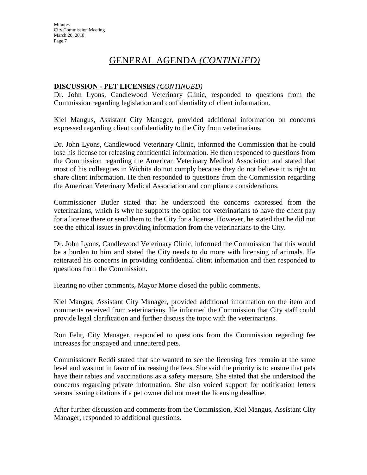# GENERAL AGENDA *(CONTINUED)*

# **DISCUSSION - PET LICENSES** *(CONTINUED)*

Dr. John Lyons, Candlewood Veterinary Clinic, responded to questions from the Commission regarding legislation and confidentiality of client information.

Kiel Mangus, Assistant City Manager, provided additional information on concerns expressed regarding client confidentiality to the City from veterinarians.

Dr. John Lyons, Candlewood Veterinary Clinic, informed the Commission that he could lose his license for releasing confidential information. He then responded to questions from the Commission regarding the American Veterinary Medical Association and stated that most of his colleagues in Wichita do not comply because they do not believe it is right to share client information. He then responded to questions from the Commission regarding the American Veterinary Medical Association and compliance considerations.

Commissioner Butler stated that he understood the concerns expressed from the veterinarians, which is why he supports the option for veterinarians to have the client pay for a license there or send them to the City for a license. However, he stated that he did not see the ethical issues in providing information from the veterinarians to the City.

Dr. John Lyons, Candlewood Veterinary Clinic, informed the Commission that this would be a burden to him and stated the City needs to do more with licensing of animals. He reiterated his concerns in providing confidential client information and then responded to questions from the Commission.

Hearing no other comments, Mayor Morse closed the public comments.

Kiel Mangus, Assistant City Manager, provided additional information on the item and comments received from veterinarians. He informed the Commission that City staff could provide legal clarification and further discuss the topic with the veterinarians.

Ron Fehr, City Manager, responded to questions from the Commission regarding fee increases for unspayed and unneutered pets.

Commissioner Reddi stated that she wanted to see the licensing fees remain at the same level and was not in favor of increasing the fees. She said the priority is to ensure that pets have their rabies and vaccinations as a safety measure. She stated that she understood the concerns regarding private information. She also voiced support for notification letters versus issuing citations if a pet owner did not meet the licensing deadline.

After further discussion and comments from the Commission, Kiel Mangus, Assistant City Manager, responded to additional questions.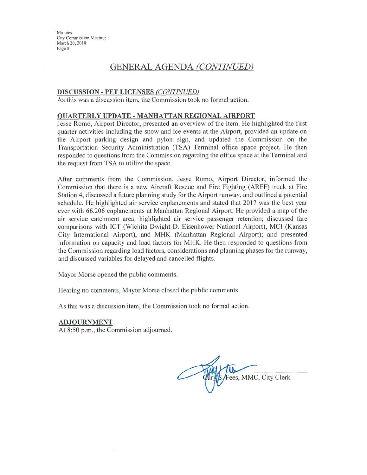# **GENERAL AGENDA (CONTINUED)**

#### **DISCUSSION - PET LICENSES (CONTINUED)**

As this was a discussion item, the Commission took no formal action.

#### QUARTERLY UPDATE - MANHATTAN REGIONAL AIRPORT

Jesse Romo, Airport Director, presented an overview of the item. He highlighted the first quarter activities including the snow and ice events at the Airport, provided an update on the Airport parking design and pylon sign, and updated the Commission on the Transportation Security Administration (TSA) Terminal office space project. He then responded to questions from the Commission regarding the office space at the Terminal and the request from TSA to utilize the space.

After comments from the Commission, Jesse Romo, Airport Director, informed the Commission that there is a new Aircraft Rescue and Fire Fighting (ARFF) truck at Fire Station 4, discussed a future planning study for the Airport runway, and outlined a potential schedule. He highlighted air service enplanements and stated that 2017 was the best year ever with 66,206 enplanements at Manhattan Regional Airport. He provided a map of the air service catchment area; highlighted air service passenger retention; discussed fare comparisons with ICT (Wichita Dwight D. Eisenhower National Airport), MCI (Kansas City International Airport), and MHK (Manhattan Regional Airport); and presented information on capacity and load factors for MHK. He then responded to questions from the Commission regarding load factors, considerations and planning phases for the runway, and discussed variables for delayed and cancelled flights.

Mayor Morse opened the public comments.

Hearing no comments, Mayor Morse closed the public comments.

As this was a discussion item, the Commission took no formal action.

#### **ADJOURNMENT**

At 8:50 p.m., the Commission adjourned.

Fees, MMC, City Clerk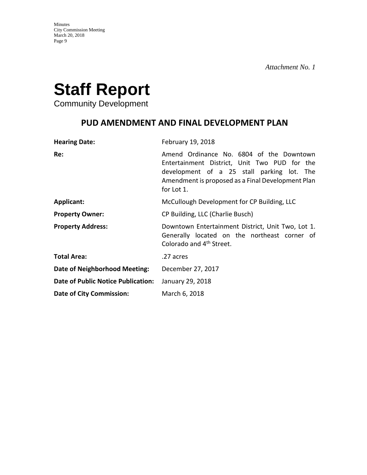

Community Development

# **PUD AMENDMENT AND FINAL DEVELOPMENT PLAN**

| <b>Hearing Date:</b>                      | February 19, 2018                                                                                                                                                                                         |
|-------------------------------------------|-----------------------------------------------------------------------------------------------------------------------------------------------------------------------------------------------------------|
| Re:                                       | Amend Ordinance No. 6804 of the Downtown<br>Entertainment District, Unit Two PUD for the<br>development of a 25 stall parking lot. The<br>Amendment is proposed as a Final Development Plan<br>for Lot 1. |
| <b>Applicant:</b>                         | McCullough Development for CP Building, LLC                                                                                                                                                               |
| <b>Property Owner:</b>                    | CP Building, LLC (Charlie Busch)                                                                                                                                                                          |
| <b>Property Address:</b>                  | Downtown Entertainment District, Unit Two, Lot 1.<br>Generally located on the northeast corner of<br>Colorado and 4 <sup>th</sup> Street.                                                                 |
| <b>Total Area:</b>                        | .27 acres                                                                                                                                                                                                 |
| Date of Neighborhood Meeting:             | December 27, 2017                                                                                                                                                                                         |
| <b>Date of Public Notice Publication:</b> | January 29, 2018                                                                                                                                                                                          |
| <b>Date of City Commission:</b>           | March 6, 2018                                                                                                                                                                                             |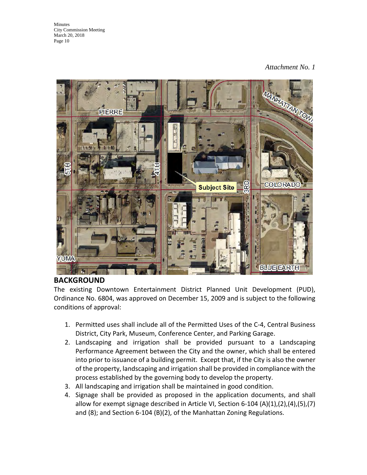# *Attachment No. 1*



# **BACKGROUND**

The existing Downtown Entertainment District Planned Unit Development (PUD), Ordinance No. 6804, was approved on December 15, 2009 and is subject to the following conditions of approval:

- 1. Permitted uses shall include all of the Permitted Uses of the C-4, Central Business District, City Park, Museum, Conference Center, and Parking Garage.
- 2. Landscaping and irrigation shall be provided pursuant to a Landscaping Performance Agreement between the City and the owner, which shall be entered into prior to issuance of a building permit. Except that, if the City is also the owner of the property, landscaping and irrigation shall be provided in compliance with the process established by the governing body to develop the property.
- 3. All landscaping and irrigation shall be maintained in good condition.
- 4. Signage shall be provided as proposed in the application documents, and shall allow for exempt signage described in Article VI, Section 6-104 (A)(1),(2),(4),(5),(7) and (8); and Section 6-104 (B)(2), of the Manhattan Zoning Regulations.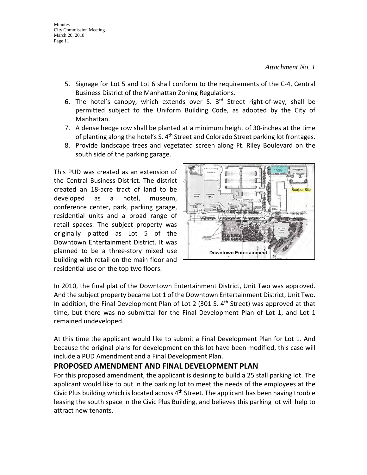- 5. Signage for Lot 5 and Lot 6 shall conform to the requirements of the C-4, Central Business District of the Manhattan Zoning Regulations.
- 6. The hotel's canopy, which extends over S.  $3<sup>rd</sup>$  Street right-of-way, shall be permitted subject to the Uniform Building Code, as adopted by the City of Manhattan.
- 7. A dense hedge row shall be planted at a minimum height of 30-inches at the time of planting along the hotel's S. 4<sup>th</sup> Street and Colorado Street parking lot frontages.
- 8. Provide landscape trees and vegetated screen along Ft. Riley Boulevard on the south side of the parking garage.

This PUD was created as an extension of the Central Business District. The district created an 18-acre tract of land to be developed as a hotel, museum, conference center, park, parking garage, residential units and a broad range of retail spaces. The subject property was originally platted as Lot 5 of the Downtown Entertainment District. It was planned to be a three-story mixed use building with retail on the main floor and residential use on the top two floors.



In 2010, the final plat of the Downtown Entertainment District, Unit Two was approved. And the subject property became Lot 1 of the Downtown Entertainment District, Unit Two. In addition, the Final Development Plan of Lot 2 (301 S.  $4<sup>th</sup>$  Street) was approved at that time, but there was no submittal for the Final Development Plan of Lot 1, and Lot 1 remained undeveloped.

At this time the applicant would like to submit a Final Development Plan for Lot 1. And because the original plans for development on this lot have been modified, this case will include a PUD Amendment and a Final Development Plan.

# **PROPOSED AMENDMENT AND FINAL DEVELOPMENT PLAN**

For this proposed amendment, the applicant is desiring to build a 25 stall parking lot. The applicant would like to put in the parking lot to meet the needs of the employees at the Civic Plus building which is located across  $4<sup>th</sup>$  Street. The applicant has been having trouble leasing the south space in the Civic Plus Building, and believes this parking lot will help to attract new tenants.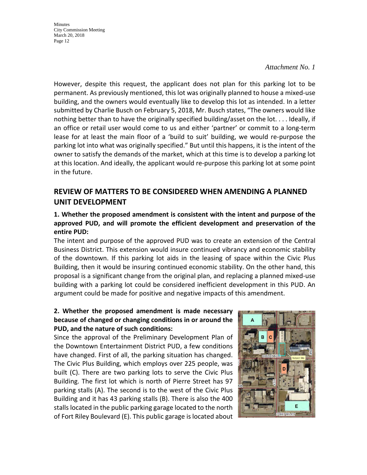#### *Attachment No. 1*

However, despite this request, the applicant does not plan for this parking lot to be permanent. As previously mentioned, this lot was originally planned to house a mixed-use building, and the owners would eventually like to develop this lot as intended. In a letter submitted by Charlie Busch on February 5, 2018, Mr. Busch states, "The owners would like nothing better than to have the originally specified building/asset on the lot. . . . Ideally, if an office or retail user would come to us and either 'partner' or commit to a long-term lease for at least the main floor of a 'build to suit' building, we would re-purpose the parking lot into what was originally specified." But until this happens, it is the intent of the owner to satisfy the demands of the market, which at this time is to develop a parking lot at this location. And ideally, the applicant would re-purpose this parking lot at some point in the future.

# **REVIEW OF MATTERS TO BE CONSIDERED WHEN AMENDING A PLANNED UNIT DEVELOPMENT**

# **1. Whether the proposed amendment is consistent with the intent and purpose of the approved PUD, and will promote the efficient development and preservation of the entire PUD:**

The intent and purpose of the approved PUD was to create an extension of the Central Business District. This extension would insure continued vibrancy and economic stability of the downtown. If this parking lot aids in the leasing of space within the Civic Plus Building, then it would be insuring continued economic stability. On the other hand, this proposal is a significant change from the original plan, and replacing a planned mixed-use building with a parking lot could be considered inefficient development in this PUD. An argument could be made for positive and negative impacts of this amendment.

# **2. Whether the proposed amendment is made necessary because of changed or changing conditions in or around the PUD, and the nature of such conditions:**

Since the approval of the Preliminary Development Plan of the Downtown Entertainment District PUD, a few conditions have changed. First of all, the parking situation has changed. The Civic Plus Building, which employs over 225 people, was built (C). There are two parking lots to serve the Civic Plus Building. The first lot which is north of Pierre Street has 97 parking stalls (A). The second is to the west of the Civic Plus Building and it has 43 parking stalls (B). There is also the 400 stalls located in the public parking garage located to the north of Fort Riley Boulevard (E). This public garage is located about

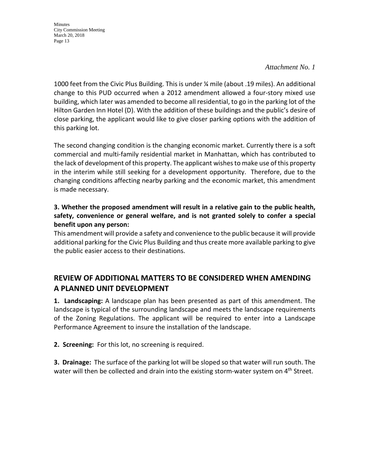#### *Attachment No. 1*

1000 feet from the Civic Plus Building. This is under ¼ mile (about .19 miles). An additional change to this PUD occurred when a 2012 amendment allowed a four-story mixed use building, which later was amended to become all residential, to go in the parking lot of the Hilton Garden Inn Hotel (D). With the addition of these buildings and the public's desire of close parking, the applicant would like to give closer parking options with the addition of this parking lot.

The second changing condition is the changing economic market. Currently there is a soft commercial and multi-family residential market in Manhattan, which has contributed to the lack of development of this property. The applicant wishes to make use of this property in the interim while still seeking for a development opportunity. Therefore, due to the changing conditions affecting nearby parking and the economic market, this amendment is made necessary.

# **3. Whether the proposed amendment will result in a relative gain to the public health, safety, convenience or general welfare, and is not granted solely to confer a special benefit upon any person:**

This amendment will provide a safety and convenience to the public because it will provide additional parking for the Civic Plus Building and thus create more available parking to give the public easier access to their destinations.

# **REVIEW OF ADDITIONAL MATTERS TO BE CONSIDERED WHEN AMENDING A PLANNED UNIT DEVELOPMENT**

**1. Landscaping:** A landscape plan has been presented as part of this amendment. The landscape is typical of the surrounding landscape and meets the landscape requirements of the Zoning Regulations. The applicant will be required to enter into a Landscape Performance Agreement to insure the installation of the landscape.

**2. Screening:** For this lot, no screening is required.

**3. Drainage:** The surface of the parking lot will be sloped so that water will run south. The water will then be collected and drain into the existing storm-water system on  $4<sup>th</sup>$  Street.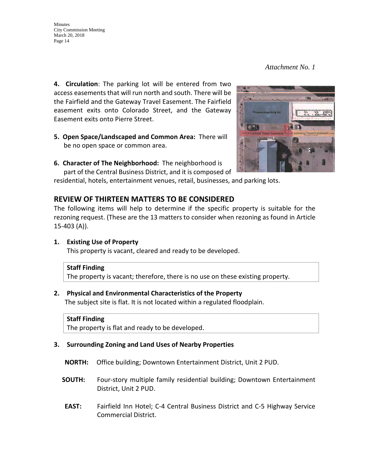*Attachment No. 1* 

**4. Circulation**: The parking lot will be entered from two access easements that will run north and south. There will be the Fairfield and the Gateway Travel Easement. The Fairfield easement exits onto Colorado Street, and the Gateway Easement exits onto Pierre Street.

- **5. Open Space/Landscaped and Common Area:** There will be no open space or common area.
- **6. Character of The Neighborhood:** The neighborhood is part of the Central Business District, and it is composed of

residential, hotels, entertainment venues, retail, businesses, and parking lots.

# **REVIEW OF THIRTEEN MATTERS TO BE CONSIDERED**

The following items will help to determine if the specific property is suitable for the rezoning request. (These are the 13 matters to consider when rezoning as found in Article 15-403 (A)).

#### **1. Existing Use of Property**

This property is vacant, cleared and ready to be developed.

#### **Staff Finding**

The property is vacant; therefore, there is no use on these existing property.

#### **2. Physical and Environmental Characteristics of the Property**

The subject site is flat. It is not located within a regulated floodplain.

#### **Staff Finding**

The property is flat and ready to be developed.

#### **3. Surrounding Zoning and Land Uses of Nearby Properties**

- **NORTH:** Office building; Downtown Entertainment District, Unit 2 PUD.
- **SOUTH:** Four-story multiple family residential building; Downtown Entertainment District, Unit 2 PUD.
- **EAST:** Fairfield Inn Hotel; C-4 Central Business District and C-5 Highway Service Commercial District.

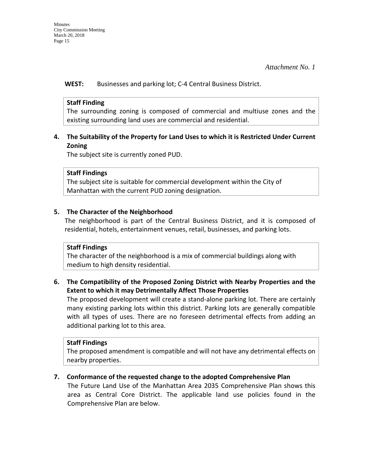**WEST:** Businesses and parking lot; C-4 Central Business District.

# **Staff Finding**

The surrounding zoning is composed of commercial and multiuse zones and the existing surrounding land uses are commercial and residential.

# **4. The Suitability of the Property for Land Uses to which it is Restricted Under Current Zoning**

The subject site is currently zoned PUD.

# **Staff Findings**

The subject site is suitable for commercial development within the City of Manhattan with the current PUD zoning designation.

# **5. The Character of the Neighborhood**

The neighborhood is part of the Central Business District, and it is composed of residential, hotels, entertainment venues, retail, businesses, and parking lots.

# **Staff Findings**

The character of the neighborhood is a mix of commercial buildings along with medium to high density residential.

# **6. The Compatibility of the Proposed Zoning District with Nearby Properties and the Extent to which it may Detrimentally Affect Those Properties**

The proposed development will create a stand-alone parking lot. There are certainly many existing parking lots within this district. Parking lots are generally compatible with all types of uses. There are no foreseen detrimental effects from adding an additional parking lot to this area.

# **Staff Findings**

The proposed amendment is compatible and will not have any detrimental effects on nearby properties.

# **7. Conformance of the requested change to the adopted Comprehensive Plan**

The Future Land Use of the Manhattan Area 2035 Comprehensive Plan shows this area as Central Core District. The applicable land use policies found in the Comprehensive Plan are below.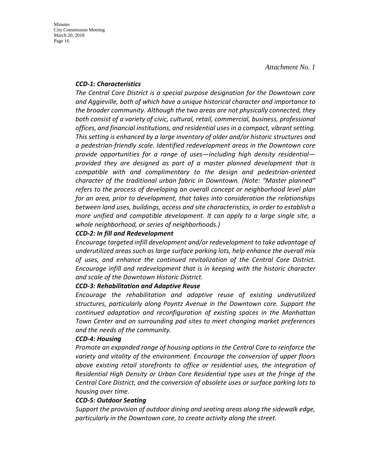#### *CCD-1: Characteristics*

*The Central Core District is a special purpose designation for the Downtown core and Aggieville, both of which have a unique historical character and importance to the broader community. Although the two areas are not physically connected, they both consist of a variety of civic, cultural, retail, commercial, business, professional offices, and financial institutions, and residential uses in a compact, vibrant setting. This setting is enhanced by a large inventory of older and/or historic structures and a pedestrian-friendly scale. Identified redevelopment areas in the Downtown core provide opportunities for a range of uses—including high density residential provided they are designed as part of a master planned development that is compatible with and complimentary to the design and pedestrian-oriented character of the traditional urban fabric in Downtown. (Note: "Master planned" refers to the process of developing an overall concept or neighborhood level plan for an area, prior to development, that takes into consideration the relationships between land uses, buildings, access and site characteristics, in order to establish a more unified and compatible development. It can apply to a large single site, a whole neighborhood, or series of neighborhoods.)* 

#### *CCD-2: In fill and Redevelopment*

*Encourage targeted infill development and/or redevelopment to take advantage of underutilized areas such as large surface parking lots, help enhance the overall mix of uses, and enhance the continued revitalization of the Central Core District. Encourage infill and redevelopment that is in keeping with the historic character and scale of the Downtown Historic District.* 

#### *CCD-3: Rehabilitation and Adaptive Reuse*

*Encourage the rehabilitation and adaptive reuse of existing underutilized structures, particularly along Poyntz Avenue in the Downtown core. Support the continued adaptation and reconfiguration of existing spaces in the Manhattan Town Center and on surrounding pad sites to meet changing market preferences and the needs of the community.* 

#### *CCD-4: Housing*

*Promote an expanded range of housing options in the Central Core to reinforce the variety and vitality of the environment. Encourage the conversion of upper floors above existing retail storefronts to office or residential uses, the integration of Residential High Density or Urban Core Residential type uses at the fringe of the Central Core District, and the conversion of obsolete uses or surface parking lots to housing over time.* 

#### *CCD-5: Outdoor Seating*

*Support the provision of outdoor dining and seating areas along the sidewalk edge, particularly in the Downtown core, to create activity along the street.*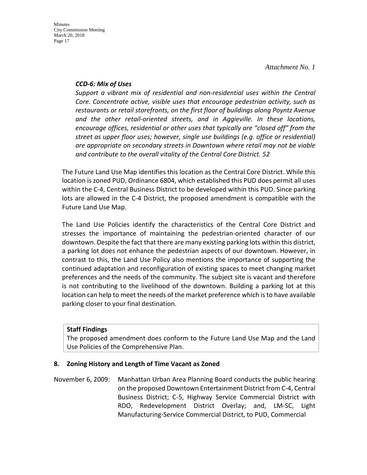**Minutes** 

*Attachment No. 1* 

#### *CCD-6: Mix of Uses*

*Support a vibrant mix of residential and non-residential uses within the Central Core. Concentrate active, visible uses that encourage pedestrian activity, such as restaurants or retail storefronts, on the first floor of buildings along Poyntz Avenue and the other retail-oriented streets, and in Aggieville. In these locations, encourage offices, residential or other uses that typically are "closed off" from the street as upper floor uses; however, single use buildings (e.g. office or residential) are appropriate on secondary streets in Downtown where retail may not be viable and contribute to the overall vitality of the Central Core District. 52*

The Future Land Use Map identifies this location as the Central Core District. While this location is zoned PUD, Ordinance 6804, which established this PUD does permit all uses within the C-4, Central Business District to be developed within this PUD. Since parking lots are allowed in the C-4 District, the proposed amendment is compatible with the Future Land Use Map.

The Land Use Policies identify the characteristics of the Central Core District and stresses the importance of maintaining the pedestrian-oriented character of our downtown. Despite the fact that there are many existing parking lots within this district, a parking lot does not enhance the pedestrian aspects of our downtown. However, in contrast to this, the Land Use Policy also mentions the importance of supporting the continued adaptation and reconfiguration of existing spaces to meet changing market preferences and the needs of the community. The subject site is vacant and therefore is not contributing to the livelihood of the downtown. Building a parking lot at this location can help to meet the needs of the market preference which is to have available parking closer to your final destination.

#### **Staff Findings**

The proposed amendment does conform to the Future Land Use Map and the Land Use Policies of the Comprehensive Plan.

#### **8. Zoning History and Length of Time Vacant as Zoned**

November 6, 2009: Manhattan Urban Area Planning Board conducts the public hearing on the proposed Downtown Entertainment District from C-4, Central Business District; C-5, Highway Service Commercial District with RDO, Redevelopment District Overlay; and, LM-SC, Light Manufacturing-Service Commercial District, to PUD, Commercial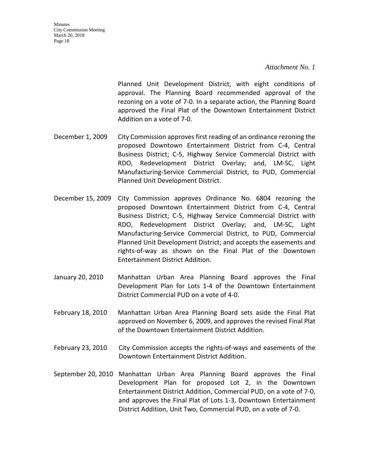*Attachment No. 1* 

Planned Unit Development District, with eight conditions of approval. The Planning Board recommended approval of the rezoning on a vote of 7-0. In a separate action, the Planning Board approved the Final Plat of the Downtown Entertainment District Addition on a vote of 7-0.

- December 1, 2009 City Commission approves first reading of an ordinance rezoning the proposed Downtown Entertainment District from C-4, Central Business District; C-5, Highway Service Commercial District with RDO, Redevelopment District Overlay; and, LM-SC, Light Manufacturing-Service Commercial District, to PUD, Commercial Planned Unit Development District.
- December 15, 2009 City Commission approves Ordinance No. 6804 rezoning the proposed Downtown Entertainment District from C-4, Central Business District; C-5, Highway Service Commercial District with RDO, Redevelopment District Overlay; and, LM-SC, Light Manufacturing-Service Commercial District, to PUD, Commercial Planned Unit Development District; and accepts the easements and rights-of-way as shown on the Final Plat of the Downtown Entertainment District Addition.
- January 20, 2010 Manhattan Urban Area Planning Board approves the Final Development Plan for Lots 1-4 of the Downtown Entertainment District Commercial PUD on a vote of 4-0.
- February 18, 2010 Manhattan Urban Area Planning Board sets aside the Final Plat approved on November 6, 2009, and approves the revised Final Plat of the Downtown Entertainment District Addition.
- February 23, 2010 City Commission accepts the rights-of-ways and easements of the Downtown Entertainment District Addition.
- September 20, 2010 Manhattan Urban Area Planning Board approves the Final Development Plan for proposed Lot 2, in the Downtown Entertainment District Addition, Commercial PUD, on a vote of 7-0, and approves the Final Plat of Lots 1-3, Downtown Entertainment District Addition, Unit Two, Commercial PUD, on a vote of 7-0.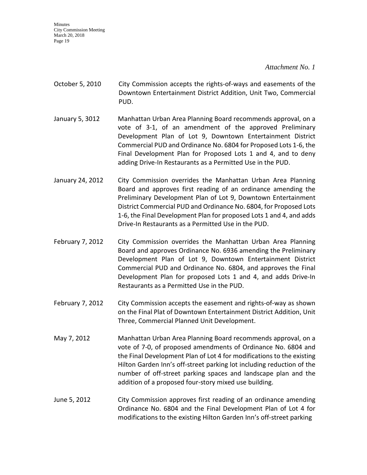*Attachment No. 1* 

- October 5, 2010 City Commission accepts the rights-of-ways and easements of the Downtown Entertainment District Addition, Unit Two, Commercial PUD.
- January 5, 3012 Manhattan Urban Area Planning Board recommends approval, on a vote of 3-1, of an amendment of the approved Preliminary Development Plan of Lot 9, Downtown Entertainment District Commercial PUD and Ordinance No. 6804 for Proposed Lots 1-6, the Final Development Plan for Proposed Lots 1 and 4, and to deny adding Drive-In Restaurants as a Permitted Use in the PUD.
- January 24, 2012 City Commission overrides the Manhattan Urban Area Planning Board and approves first reading of an ordinance amending the Preliminary Development Plan of Lot 9, Downtown Entertainment District Commercial PUD and Ordinance No. 6804, for Proposed Lots 1-6, the Final Development Plan for proposed Lots 1 and 4, and adds Drive-In Restaurants as a Permitted Use in the PUD.
- February 7, 2012 City Commission overrides the Manhattan Urban Area Planning Board and approves Ordinance No. 6936 amending the Preliminary Development Plan of Lot 9, Downtown Entertainment District Commercial PUD and Ordinance No. 6804, and approves the Final Development Plan for proposed Lots 1 and 4, and adds Drive-In Restaurants as a Permitted Use in the PUD.
- February 7, 2012 City Commission accepts the easement and rights-of-way as shown on the Final Plat of Downtown Entertainment District Addition, Unit Three, Commercial Planned Unit Development.
- May 7, 2012 Manhattan Urban Area Planning Board recommends approval, on a vote of 7-0, of proposed amendments of Ordinance No. 6804 and the Final Development Plan of Lot 4 for modifications to the existing Hilton Garden Inn's off-street parking lot including reduction of the number of off-street parking spaces and landscape plan and the addition of a proposed four-story mixed use building.
- June 5, 2012 City Commission approves first reading of an ordinance amending Ordinance No. 6804 and the Final Development Plan of Lot 4 for modifications to the existing Hilton Garden Inn's off-street parking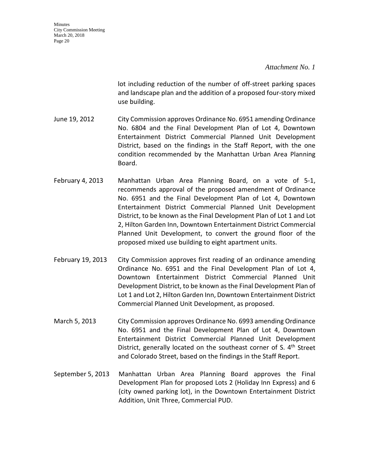#### *Attachment No. 1*

lot including reduction of the number of off-street parking spaces and landscape plan and the addition of a proposed four-story mixed use building.

- June 19, 2012 City Commission approves Ordinance No. 6951 amending Ordinance No. 6804 and the Final Development Plan of Lot 4, Downtown Entertainment District Commercial Planned Unit Development District, based on the findings in the Staff Report, with the one condition recommended by the Manhattan Urban Area Planning Board.
- February 4, 2013 Manhattan Urban Area Planning Board, on a vote of 5-1, recommends approval of the proposed amendment of Ordinance No. 6951 and the Final Development Plan of Lot 4, Downtown Entertainment District Commercial Planned Unit Development District, to be known as the Final Development Plan of Lot 1 and Lot 2, Hilton Garden Inn, Downtown Entertainment District Commercial Planned Unit Development, to convert the ground floor of the proposed mixed use building to eight apartment units.
- February 19, 2013 City Commission approves first reading of an ordinance amending Ordinance No. 6951 and the Final Development Plan of Lot 4, Downtown Entertainment District Commercial Planned Unit Development District, to be known as the Final Development Plan of Lot 1 and Lot 2, Hilton Garden Inn, Downtown Entertainment District Commercial Planned Unit Development, as proposed.
- March 5, 2013 City Commission approves Ordinance No. 6993 amending Ordinance No. 6951 and the Final Development Plan of Lot 4, Downtown Entertainment District Commercial Planned Unit Development District, generally located on the southeast corner of S.  $4<sup>th</sup>$  Street and Colorado Street, based on the findings in the Staff Report.
- September 5, 2013 Manhattan Urban Area Planning Board approves the Final Development Plan for proposed Lots 2 (Holiday Inn Express) and 6 (city owned parking lot), in the Downtown Entertainment District Addition, Unit Three, Commercial PUD.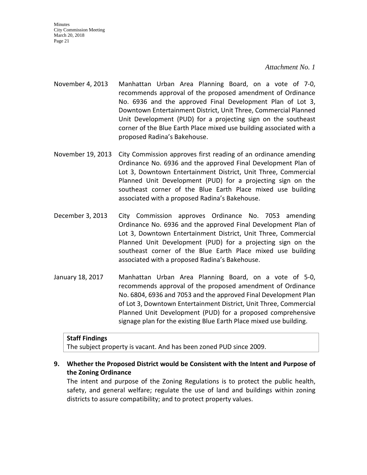#### *Attachment No. 1*

- November 4, 2013 Manhattan Urban Area Planning Board, on a vote of 7-0, recommends approval of the proposed amendment of Ordinance No. 6936 and the approved Final Development Plan of Lot 3, Downtown Entertainment District, Unit Three, Commercial Planned Unit Development (PUD) for a projecting sign on the southeast corner of the Blue Earth Place mixed use building associated with a proposed Radina's Bakehouse.
- November 19, 2013 City Commission approves first reading of an ordinance amending Ordinance No. 6936 and the approved Final Development Plan of Lot 3, Downtown Entertainment District, Unit Three, Commercial Planned Unit Development (PUD) for a projecting sign on the southeast corner of the Blue Earth Place mixed use building associated with a proposed Radina's Bakehouse.
- December 3, 2013 City Commission approves Ordinance No. 7053 amending Ordinance No. 6936 and the approved Final Development Plan of Lot 3, Downtown Entertainment District, Unit Three, Commercial Planned Unit Development (PUD) for a projecting sign on the southeast corner of the Blue Earth Place mixed use building associated with a proposed Radina's Bakehouse.
- January 18, 2017 Manhattan Urban Area Planning Board, on a vote of 5-0, recommends approval of the proposed amendment of Ordinance No. 6804, 6936 and 7053 and the approved Final Development Plan of Lot 3, Downtown Entertainment District, Unit Three, Commercial Planned Unit Development (PUD) for a proposed comprehensive signage plan for the existing Blue Earth Place mixed use building.

#### **Staff Findings**

The subject property is vacant. And has been zoned PUD since 2009.

# **9. Whether the Proposed District would be Consistent with the Intent and Purpose of the Zoning Ordinance**

The intent and purpose of the Zoning Regulations is to protect the public health, safety, and general welfare; regulate the use of land and buildings within zoning districts to assure compatibility; and to protect property values.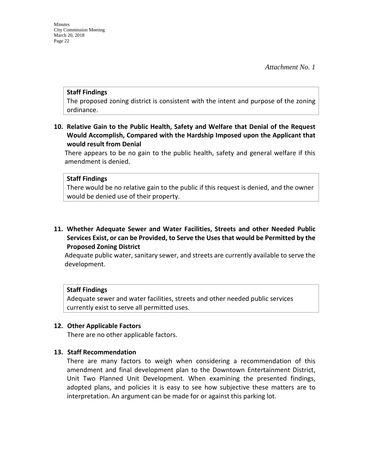#### **Staff Findings**

The proposed zoning district is consistent with the intent and purpose of the zoning ordinance.

**10. Relative Gain to the Public Health, Safety and Welfare that Denial of the Request Would Accomplish, Compared with the Hardship Imposed upon the Applicant that would result from Denial**

There appears to be no gain to the public health, safety and general welfare if this amendment is denied.

#### **Staff Findings**

There would be no relative gain to the public if this request is denied, and the owner would be denied use of their property.

**11. Whether Adequate Sewer and Water Facilities, Streets and other Needed Public Services Exist, or can be Provided, to Serve the Uses that would be Permitted by the Proposed Zoning District**

Adequate public water, sanitary sewer, and streets are currently available to serve the development.

#### **Staff Findings**

Adequate sewer and water facilities, streets and other needed public services currently exist to serve all permitted uses.

#### **12. Other Applicable Factors**

There are no other applicable factors.

#### **13. Staff Recommendation**

There are many factors to weigh when considering a recommendation of this amendment and final development plan to the Downtown Entertainment District, Unit Two Planned Unit Development. When examining the presented findings, adopted plans, and policies it is easy to see how subjective these matters are to interpretation. An argument can be made for or against this parking lot.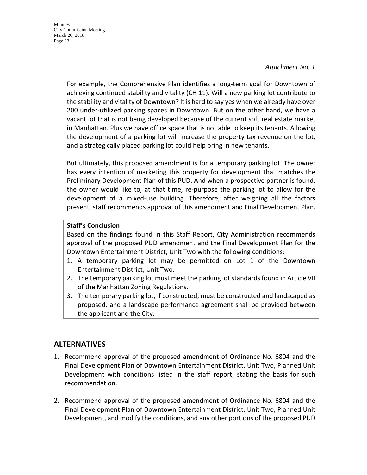#### *Attachment No. 1*

For example, the Comprehensive Plan identifies a long-term goal for Downtown of achieving continued stability and vitality (CH 11). Will a new parking lot contribute to the stability and vitality of Downtown? It is hard to say yes when we already have over 200 under-utilized parking spaces in Downtown. But on the other hand, we have a vacant lot that is not being developed because of the current soft real estate market in Manhattan. Plus we have office space that is not able to keep its tenants. Allowing the development of a parking lot will increase the property tax revenue on the lot, and a strategically placed parking lot could help bring in new tenants.

But ultimately, this proposed amendment is for a temporary parking lot. The owner has every intention of marketing this property for development that matches the Preliminary Development Plan of this PUD. And when a prospective partner is found, the owner would like to, at that time, re-purpose the parking lot to allow for the development of a mixed-use building. Therefore, after weighing all the factors present, staff recommends approval of this amendment and Final Development Plan.

#### **Staff's Conclusion**

Based on the findings found in this Staff Report, City Administration recommends approval of the proposed PUD amendment and the Final Development Plan for the Downtown Entertainment District, Unit Two with the following conditions:

- 1. A temporary parking lot may be permitted on Lot 1 of the Downtown Entertainment District, Unit Two.
- 2. The temporary parking lot must meet the parking lot standards found in Article VII of the Manhattan Zoning Regulations.
- 3. The temporary parking lot, if constructed, must be constructed and landscaped as proposed, and a landscape performance agreement shall be provided between the applicant and the City.

# **ALTERNATIVES**

- 1. Recommend approval of the proposed amendment of Ordinance No. 6804 and the Final Development Plan of Downtown Entertainment District, Unit Two, Planned Unit Development with conditions listed in the staff report, stating the basis for such recommendation.
- 2. Recommend approval of the proposed amendment of Ordinance No. 6804 and the Final Development Plan of Downtown Entertainment District, Unit Two, Planned Unit Development, and modify the conditions, and any other portions of the proposed PUD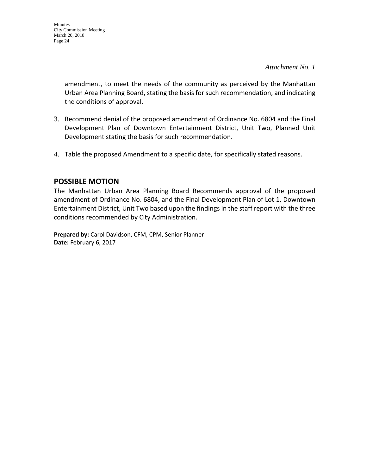*Attachment No. 1* 

amendment, to meet the needs of the community as perceived by the Manhattan Urban Area Planning Board, stating the basis for such recommendation, and indicating the conditions of approval.

- 3. Recommend denial of the proposed amendment of Ordinance No. 6804 and the Final Development Plan of Downtown Entertainment District, Unit Two, Planned Unit Development stating the basis for such recommendation.
- 4. Table the proposed Amendment to a specific date, for specifically stated reasons.

# **POSSIBLE MOTION**

The Manhattan Urban Area Planning Board Recommends approval of the proposed amendment of Ordinance No. 6804, and the Final Development Plan of Lot 1, Downtown Entertainment District, Unit Two based upon the findings in the staff report with the three conditions recommended by City Administration.

**Prepared by:** Carol Davidson, CFM, CPM, Senior Planner **Date:** February 6, 2017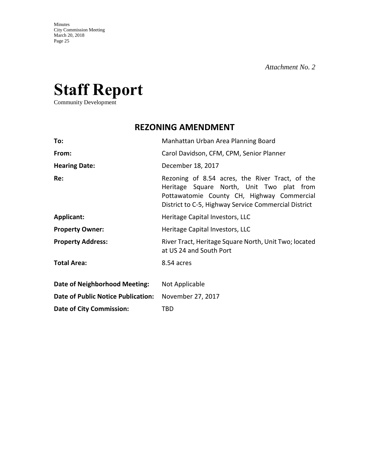# **Staff Report**

Community Development

# **REZONING AMENDMENT**

| To:                                       | Manhattan Urban Area Planning Board                                                                                                                                                                |
|-------------------------------------------|----------------------------------------------------------------------------------------------------------------------------------------------------------------------------------------------------|
| From:                                     | Carol Davidson, CFM, CPM, Senior Planner                                                                                                                                                           |
| <b>Hearing Date:</b>                      | December 18, 2017                                                                                                                                                                                  |
| Re:                                       | Rezoning of 8.54 acres, the River Tract, of the<br>Heritage Square North, Unit Two plat from<br>Pottawatomie County CH, Highway Commercial<br>District to C-5, Highway Service Commercial District |
| Applicant:                                | Heritage Capital Investors, LLC                                                                                                                                                                    |
| <b>Property Owner:</b>                    | Heritage Capital Investors, LLC                                                                                                                                                                    |
| <b>Property Address:</b>                  | River Tract, Heritage Square North, Unit Two; located<br>at US 24 and South Port                                                                                                                   |
| <b>Total Area:</b>                        | 8.54 acres                                                                                                                                                                                         |
| Date of Neighborhood Meeting:             | Not Applicable                                                                                                                                                                                     |
| <b>Date of Public Notice Publication:</b> | November 27, 2017                                                                                                                                                                                  |
| <b>Date of City Commission:</b>           | <b>TBD</b>                                                                                                                                                                                         |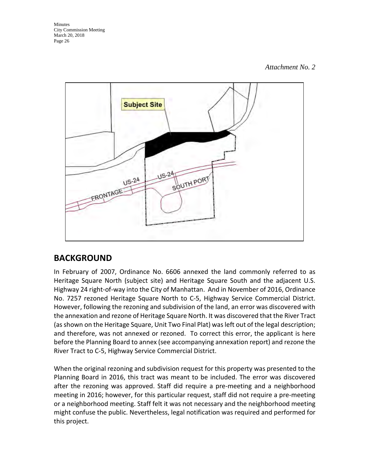#### *Attachment No. 2*



# **BACKGROUND**

In February of 2007, Ordinance No. 6606 annexed the land commonly referred to as Heritage Square North (subject site) and Heritage Square South and the adjacent U.S. Highway 24 right-of-way into the City of Manhattan. And in November of 2016, Ordinance No. 7257 rezoned Heritage Square North to C-5, Highway Service Commercial District. However, following the rezoning and subdivision of the land, an error was discovered with the annexation and rezone of Heritage Square North. It was discovered that the River Tract (as shown on the Heritage Square, Unit Two Final Plat) was left out of the legal description; and therefore, was not annexed or rezoned. To correct this error, the applicant is here before the Planning Board to annex (see accompanying annexation report) and rezone the River Tract to C-5, Highway Service Commercial District.

When the original rezoning and subdivision request for this property was presented to the Planning Board in 2016, this tract was meant to be included. The error was discovered after the rezoning was approved. Staff did require a pre-meeting and a neighborhood meeting in 2016; however, for this particular request, staff did not require a pre-meeting or a neighborhood meeting. Staff felt it was not necessary and the neighborhood meeting might confuse the public. Nevertheless, legal notification was required and performed for this project.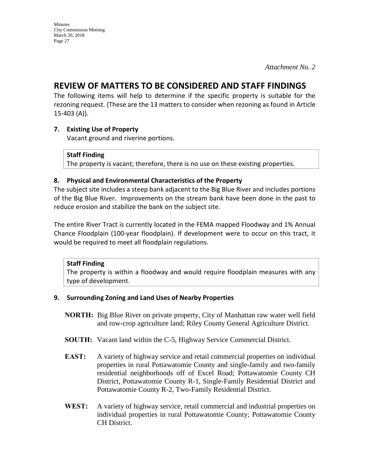# **REVIEW OF MATTERS TO BE CONSIDERED AND STAFF FINDINGS**

The following items will help to determine if the specific property is suitable for the rezoning request. (These are the 13 matters to consider when rezoning as found in Article 15-403 (A)).

# **7. Existing Use of Property**

Vacant ground and riverine portions.

#### **Staff Finding**

The property is vacant; therefore, there is no use on these existing properties.

#### **8. Physical and Environmental Characteristics of the Property**

The subject site includes a steep bank adjacent to the Big Blue River and includes portions of the Big Blue River. Improvements on the stream bank have been done in the past to reduce erosion and stabilize the bank on the subject site.

The entire River Tract is currently located in the FEMA mapped Floodway and 1% Annual Chance Floodplain (100-year floodplain). If development were to occur on this tract, it would be required to meet all floodplain regulations.

#### **Staff Finding**

The property is within a floodway and would require floodplain measures with any type of development.

#### **9. Surrounding Zoning and Land Uses of Nearby Properties**

- **NORTH:** Big Blue River on private property, City of Manhattan raw water well field and row-crop agriculture land; Riley County General Agriculture District.
- **SOUTH:** Vacant land within the C-5, Highway Service Commercial District.
- **EAST:** A variety of highway service and retail commercial properties on individual properties in rural Pottawatomie County and single-family and two-family residential neighborhoods off of Excel Road; Pottawatomie County CH District, Pottawatomie County R-1, Single-Family Residential District and Pottawatomie County R-2, Two-Family Residential District.
- **WEST:** A variety of highway service, retail commercial and industrial properties on individual properties in rural Pottawatomie County; Pottawatomie County CH District.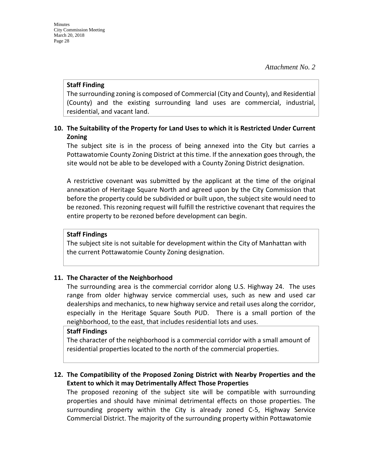#### **Staff Finding**

The surrounding zoning is composed of Commercial (City and County), and Residential (County) and the existing surrounding land uses are commercial, industrial, residential, and vacant land.

# **10. The Suitability of the Property for Land Uses to which it is Restricted Under Current Zoning**

The subject site is in the process of being annexed into the City but carries a Pottawatomie County Zoning District at this time. If the annexation goes through, the site would not be able to be developed with a County Zoning District designation.

A restrictive covenant was submitted by the applicant at the time of the original annexation of Heritage Square North and agreed upon by the City Commission that before the property could be subdivided or built upon, the subject site would need to be rezoned. This rezoning request will fulfill the restrictive covenant that requires the entire property to be rezoned before development can begin.

#### **Staff Findings**

The subject site is not suitable for development within the City of Manhattan with the current Pottawatomie County Zoning designation.

#### **11. The Character of the Neighborhood**

The surrounding area is the commercial corridor along U.S. Highway 24. The uses range from older highway service commercial uses, such as new and used car dealerships and mechanics, to new highway service and retail uses along the corridor, especially in the Heritage Square South PUD. There is a small portion of the neighborhood, to the east, that includes residential lots and uses.

#### **Staff Findings**

The character of the neighborhood is a commercial corridor with a small amount of residential properties located to the north of the commercial properties.

# **12. The Compatibility of the Proposed Zoning District with Nearby Properties and the Extent to which it may Detrimentally Affect Those Properties**

The proposed rezoning of the subject site will be compatible with surrounding properties and should have minimal detrimental effects on those properties. The surrounding property within the City is already zoned C-5, Highway Service Commercial District. The majority of the surrounding property within Pottawatomie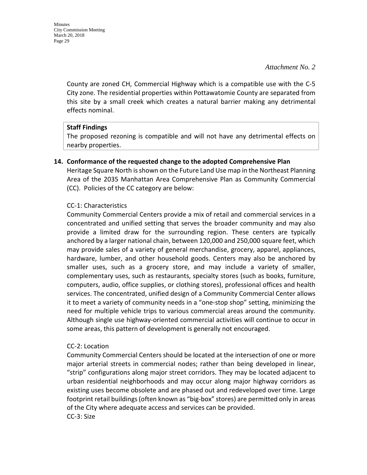County are zoned CH, Commercial Highway which is a compatible use with the C-5 City zone. The residential properties within Pottawatomie County are separated from this site by a small creek which creates a natural barrier making any detrimental effects nominal.

#### **Staff Findings**

The proposed rezoning is compatible and will not have any detrimental effects on nearby properties.

#### **14. Conformance of the requested change to the adopted Comprehensive Plan**

Heritage Square North is shown on the Future Land Use map in the Northeast Planning Area of the 2035 Manhattan Area Comprehensive Plan as Community Commercial (CC). Policies of the CC category are below:

#### CC-1: Characteristics

Community Commercial Centers provide a mix of retail and commercial services in a concentrated and unified setting that serves the broader community and may also provide a limited draw for the surrounding region. These centers are typically anchored by a larger national chain, between 120,000 and 250,000 square feet, which may provide sales of a variety of general merchandise, grocery, apparel, appliances, hardware, lumber, and other household goods. Centers may also be anchored by smaller uses, such as a grocery store, and may include a variety of smaller, complementary uses, such as restaurants, specialty stores (such as books, furniture, computers, audio, office supplies, or clothing stores), professional offices and health services. The concentrated, unified design of a Community Commercial Center allows it to meet a variety of community needs in a "one-stop shop" setting, minimizing the need for multiple vehicle trips to various commercial areas around the community. Although single use highway-oriented commercial activities will continue to occur in some areas, this pattern of development is generally not encouraged.

#### CC-2: Location

Community Commercial Centers should be located at the intersection of one or more major arterial streets in commercial nodes; rather than being developed in linear, "strip" configurations along major street corridors. They may be located adjacent to urban residential neighborhoods and may occur along major highway corridors as existing uses become obsolete and are phased out and redeveloped over time. Large footprint retail buildings (often known as "big-box" stores) are permitted only in areas of the City where adequate access and services can be provided. CC-3: Size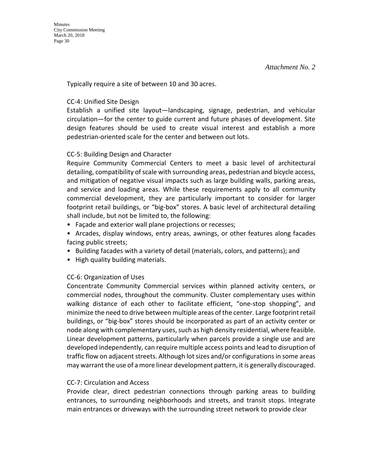Typically require a site of between 10 and 30 acres.

## CC-4: Unified Site Design

Establish a unified site layout—landscaping, signage, pedestrian, and vehicular circulation—for the center to guide current and future phases of development. Site design features should be used to create visual interest and establish a more pedestrian-oriented scale for the center and between out lots.

# CC-5: Building Design and Character

Require Community Commercial Centers to meet a basic level of architectural detailing, compatibility of scale with surrounding areas, pedestrian and bicycle access, and mitigation of negative visual impacts such as large building walls, parking areas, and service and loading areas. While these requirements apply to all community commercial development, they are particularly important to consider for larger footprint retail buildings, or "big-box" stores. A basic level of architectural detailing shall include, but not be limited to, the following:

- Façade and exterior wall plane projections or recesses;
- Arcades, display windows, entry areas, awnings, or other features along facades facing public streets;
- Building facades with a variety of detail (materials, colors, and patterns); and
- High quality building materials.

# CC-6: Organization of Uses

Concentrate Community Commercial services within planned activity centers, or commercial nodes, throughout the community. Cluster complementary uses within walking distance of each other to facilitate efficient, "one-stop shopping", and minimize the need to drive between multiple areas of the center. Large footprint retail buildings, or "big-box" stores should be incorporated as part of an activity center or node along with complementary uses, such as high density residential, where feasible. Linear development patterns, particularly when parcels provide a single use and are developed independently, can require multiple access points and lead to disruption of traffic flow on adjacent streets. Although lot sizes and/or configurations in some areas may warrant the use of a more linear development pattern, it is generally discouraged.

# CC-7: Circulation and Access

Provide clear, direct pedestrian connections through parking areas to building entrances, to surrounding neighborhoods and streets, and transit stops. Integrate main entrances or driveways with the surrounding street network to provide clear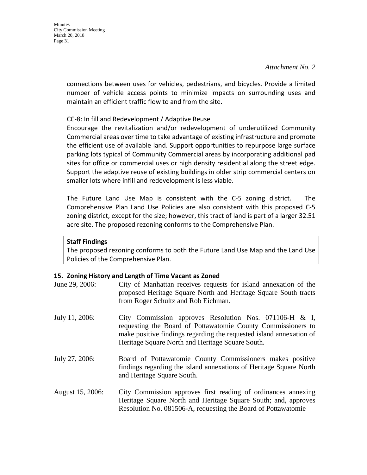connections between uses for vehicles, pedestrians, and bicycles. Provide a limited number of vehicle access points to minimize impacts on surrounding uses and maintain an efficient traffic flow to and from the site.

#### CC-8: In fill and Redevelopment / Adaptive Reuse

Encourage the revitalization and/or redevelopment of underutilized Community Commercial areas over time to take advantage of existing infrastructure and promote the efficient use of available land. Support opportunities to repurpose large surface parking lots typical of Community Commercial areas by incorporating additional pad sites for office or commercial uses or high density residential along the street edge. Support the adaptive reuse of existing buildings in older strip commercial centers on smaller lots where infill and redevelopment is less viable.

The Future Land Use Map is consistent with the C-5 zoning district. The Comprehensive Plan Land Use Policies are also consistent with this proposed C-5 zoning district, except for the size; however, this tract of land is part of a larger 32.51 acre site. The proposed rezoning conforms to the Comprehensive Plan.

#### **Staff Findings**

The proposed rezoning conforms to both the Future Land Use Map and the Land Use Policies of the Comprehensive Plan.

#### **15. Zoning History and Length of Time Vacant as Zoned**

| June 29, 2006:   | City of Manhattan receives requests for island annexation of the<br>proposed Heritage Square North and Heritage Square South tracts<br>from Roger Schultz and Rob Eichman.                                                                           |
|------------------|------------------------------------------------------------------------------------------------------------------------------------------------------------------------------------------------------------------------------------------------------|
| July 11, 2006:   | City Commission approves Resolution Nos. 071106-H $\&$ I,<br>requesting the Board of Pottawatomie County Commissioners to<br>make positive findings regarding the requested island annexation of<br>Heritage Square North and Heritage Square South. |
| July 27, 2006:   | Board of Pottawatomie County Commissioners makes positive<br>findings regarding the island annexations of Heritage Square North<br>and Heritage Square South.                                                                                        |
| August 15, 2006: | City Commission approves first reading of ordinances annexing<br>Heritage Square North and Heritage Square South; and, approves<br>Resolution No. 081506-A, requesting the Board of Pottawatomie                                                     |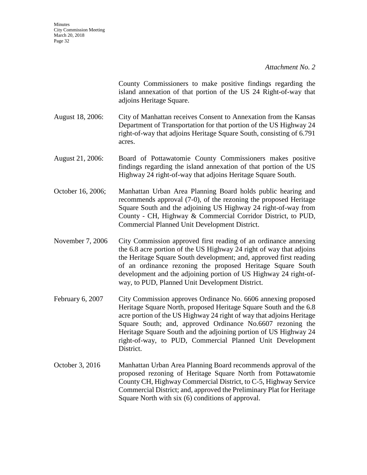County Commissioners to make positive findings regarding the island annexation of that portion of the US 24 Right-of-way that adjoins Heritage Square.

- August 18, 2006: City of Manhattan receives Consent to Annexation from the Kansas Department of Transportation for that portion of the US Highway 24 right-of-way that adjoins Heritage Square South, consisting of 6.791 acres.
- August 21, 2006: Board of Pottawatomie County Commissioners makes positive findings regarding the island annexation of that portion of the US Highway 24 right-of-way that adjoins Heritage Square South.
- October 16, 2006; Manhattan Urban Area Planning Board holds public hearing and recommends approval (7-0), of the rezoning the proposed Heritage Square South and the adjoining US Highway 24 right-of-way from County - CH, Highway & Commercial Corridor District, to PUD, Commercial Planned Unit Development District.
- November 7, 2006 City Commission approved first reading of an ordinance annexing the 6.8 acre portion of the US Highway 24 right of way that adjoins the Heritage Square South development; and, approved first reading of an ordinance rezoning the proposed Heritage Square South development and the adjoining portion of US Highway 24 right-ofway, to PUD, Planned Unit Development District.
- February 6, 2007 City Commission approves Ordinance No. 6606 annexing proposed Heritage Square North, proposed Heritage Square South and the 6.8 acre portion of the US Highway 24 right of way that adjoins Heritage Square South; and, approved Ordinance No.6607 rezoning the Heritage Square South and the adjoining portion of US Highway 24 right-of-way, to PUD, Commercial Planned Unit Development District.
- October 3, 2016 Manhattan Urban Area Planning Board recommends approval of the proposed rezoning of Heritage Square North from Pottawatomie County CH, Highway Commercial District, to C-5, Highway Service Commercial District; and, approved the Preliminary Plat for Heritage Square North with six (6) conditions of approval.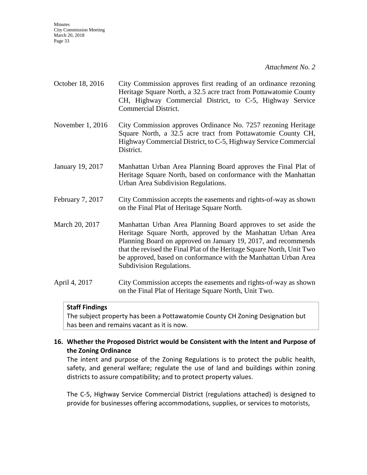#### *Attachment No. 2*

- October 18, 2016 City Commission approves first reading of an ordinance rezoning Heritage Square North, a 32.5 acre tract from Pottawatomie County CH, Highway Commercial District, to C-5, Highway Service Commercial District.
- November 1, 2016 City Commission approves Ordinance No. 7257 rezoning Heritage Square North, a 32.5 acre tract from Pottawatomie County CH, Highway Commercial District, to C-5, Highway Service Commercial District.
- January 19, 2017 Manhattan Urban Area Planning Board approves the Final Plat of Heritage Square North, based on conformance with the Manhattan Urban Area Subdivision Regulations.
- February 7, 2017 City Commission accepts the easements and rights-of-way as shown on the Final Plat of Heritage Square North.

March 20, 2017 Manhattan Urban Area Planning Board approves to set aside the Heritage Square North, approved by the Manhattan Urban Area Planning Board on approved on January 19, 2017, and recommends that the revised the Final Plat of the Heritage Square North, Unit Two be approved, based on conformance with the Manhattan Urban Area Subdivision Regulations.

April 4, 2017 City Commission accepts the easements and rights-of-way as shown on the Final Plat of Heritage Square North, Unit Two.

#### **Staff Findings**

The subject property has been a Pottawatomie County CH Zoning Designation but has been and remains vacant as it is now.

#### **16. Whether the Proposed District would be Consistent with the Intent and Purpose of the Zoning Ordinance**

The intent and purpose of the Zoning Regulations is to protect the public health, safety, and general welfare; regulate the use of land and buildings within zoning districts to assure compatibility; and to protect property values.

The C-5, Highway Service Commercial District (regulations attached) is designed to provide for businesses offering accommodations, supplies, or services to motorists,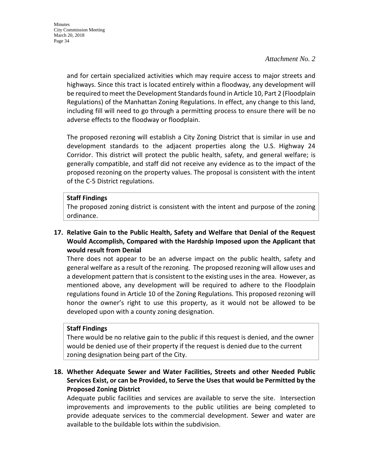and for certain specialized activities which may require access to major streets and highways. Since this tract is located entirely within a floodway, any development will be required to meet the Development Standards found in Article 10, Part 2 (Floodplain Regulations) of the Manhattan Zoning Regulations. In effect, any change to this land, including fill will need to go through a permitting process to ensure there will be no adverse effects to the floodway or floodplain.

The proposed rezoning will establish a City Zoning District that is similar in use and development standards to the adjacent properties along the U.S. Highway 24 Corridor. This district will protect the public health, safety, and general welfare; is generally compatible, and staff did not receive any evidence as to the impact of the proposed rezoning on the property values. The proposal is consistent with the intent of the C-5 District regulations.

#### **Staff Findings**

The proposed zoning district is consistent with the intent and purpose of the zoning ordinance.

# **17. Relative Gain to the Public Health, Safety and Welfare that Denial of the Request Would Accomplish, Compared with the Hardship Imposed upon the Applicant that would result from Denial**

There does not appear to be an adverse impact on the public health, safety and general welfare as a result of the rezoning. The proposed rezoning will allow uses and a development pattern that is consistent to the existing uses in the area. However, as mentioned above, any development will be required to adhere to the Floodplain regulations found in Article 10 of the Zoning Regulations. This proposed rezoning will honor the owner's right to use this property, as it would not be allowed to be developed upon with a county zoning designation.

#### **Staff Findings**

There would be no relative gain to the public if this request is denied, and the owner would be denied use of their property if the request is denied due to the current zoning designation being part of the City.

# **18. Whether Adequate Sewer and Water Facilities, Streets and other Needed Public Services Exist, or can be Provided, to Serve the Uses that would be Permitted by the Proposed Zoning District**

Adequate public facilities and services are available to serve the site. Intersection improvements and improvements to the public utilities are being completed to provide adequate services to the commercial development. Sewer and water are available to the buildable lots within the subdivision.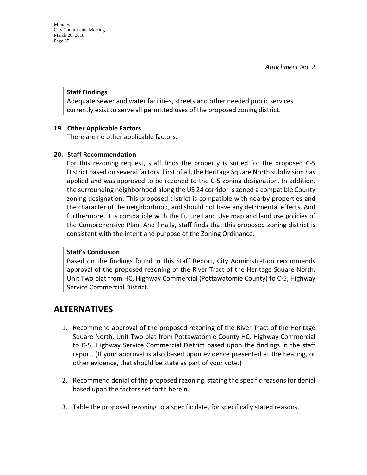#### **Staff Findings**

Adequate sewer and water facilities, streets and other needed public services currently exist to serve all permitted uses of the proposed zoning district.

#### **19. Other Applicable Factors**

There are no other applicable factors.

#### **20. Staff Recommendation**

For this rezoning request, staff finds the property is suited for the proposed C-5 District based on several factors. First of all, the Heritage Square North subdivision has applied and was approved to be rezoned to the C-5 zoning designation. In addition, the surrounding neighborhood along the US 24 corridor is zoned a compatible County zoning designation. This proposed district is compatible with nearby properties and the character of the neighborhood, and should not have any detrimental effects. And furthermore, it is compatible with the Future Land Use map and land use policies of the Comprehensive Plan. And finally, staff finds that this proposed zoning district is consistent with the intent and purpose of the Zoning Ordinance.

# **Staff's Conclusion**

Based on the findings found in this Staff Report, City Administration recommends approval of the proposed rezoning of the River Tract of the Heritage Square North, Unit Two plat from HC, Highway Commercial (Pottawatomie County) to C-5, Highway Service Commercial District.

# **ALTERNATIVES**

- 1. Recommend approval of the proposed rezoning of the River Tract of the Heritage Square North, Unit Two plat from Pottawatomie County HC, Highway Commercial to C-5, Highway Service Commercial District based upon the findings in the staff report. (If your approval is also based upon evidence presented at the hearing, or other evidence, that should be state as part of your vote.)
- 2. Recommend denial of the proposed rezoning, stating the specific reasons for denial based upon the factors set forth herein.
- 3. Table the proposed rezoning to a specific date, for specifically stated reasons.